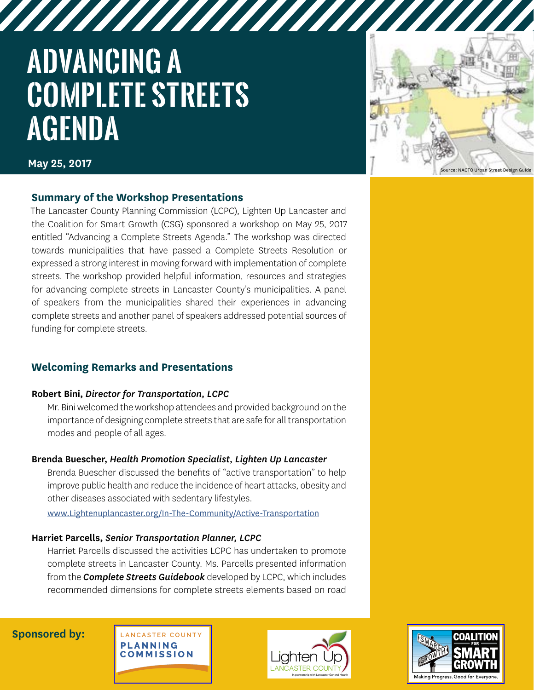# **ADVANCING A COMPLETE STREETS AGENDA**



**May 25, 2017**

## **Summary of the Workshop Presentations**

The Lancaster County Planning Commission (LCPC), Lighten Up Lancaster and the Coalition for Smart Growth (CSG) sponsored a workshop on May 25, 2017 entitled "Advancing a Complete Streets Agenda." The workshop was directed towards municipalities that have passed a Complete Streets Resolution or expressed a strong interest in moving forward with implementation of complete streets. The workshop provided helpful information, resources and strategies for advancing complete streets in Lancaster County's municipalities. A panel of speakers from the municipalities shared their experiences in advancing complete streets and another panel of speakers addressed potential sources of funding for complete streets.

# **Welcoming Remarks and Presentations**

#### **Robert Bini,** *Director for Transportation, LCPC*

Mr. Bini welcomed the workshop attendees and provided background on the importance of designing complete streets that are safe for all transportation modes and people of all ages.

## **Brenda Buescher,** *Health Promotion Specialist, Lighten Up Lancaster*

Brenda Buescher discussed the benefits of "active transportation" to help improve public health and reduce the incidence of heart attacks, obesity and other diseases associated with sedentary lifestyles.

[www.Lightenuplancaster.org/In-The-Community/Active-Transportation](http://www.lightenuplancaster.org/In-The-Community/Active-Transportation.aspx)

#### **Harriet Parcells,** *Senior Transportation Planner, LCPC*

Harriet Parcells discussed the activities LCPC has undertaken to promote complete streets in Lancaster County. Ms. Parcells presented information from the *Complete Streets Guidebook* developed by LCPC, which includes recommended dimensions for complete streets elements based on road

**Sponsored by:**





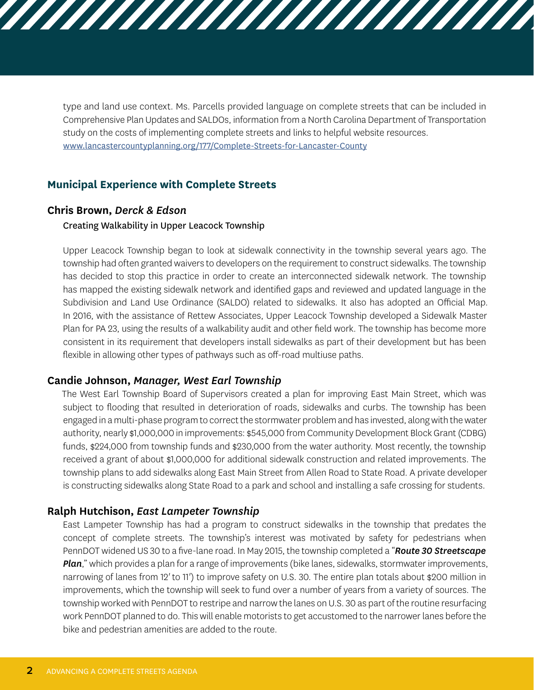type and land use context. Ms. Parcells provided language on complete streets that can be included in Comprehensive Plan Updates and SALDOs, information from a North Carolina Department of Transportation study on the costs of implementing complete streets and links to helpful website resources. [www.lancastercountyplanning.org/177/Complete-Streets-for-Lancaster-County](http://www.lancastercountyplanning.org/177/Complete-Streets-for-Lancaster-County)

## **Municipal Experience with Complete Streets**

#### **Chris Brown,** *Derck & Edson*

#### Creating Walkability in Upper Leacock Township

Upper Leacock Township began to look at sidewalk connectivity in the township several years ago. The township had often granted waivers to developers on the requirement to construct sidewalks. The township has decided to stop this practice in order to create an interconnected sidewalk network. The township has mapped the existing sidewalk network and identified gaps and reviewed and updated language in the Subdivision and Land Use Ordinance (SALDO) related to sidewalks. It also has adopted an Official Map. In 2016, with the assistance of Rettew Associates, Upper Leacock Township developed a Sidewalk Master Plan for PA 23, using the results of a walkability audit and other field work. The township has become more consistent in its requirement that developers install sidewalks as part of their development but has been flexible in allowing other types of pathways such as off-road multiuse paths.

#### **Candie Johnson,** *Manager, West Earl Township*

The West Earl Township Board of Supervisors created a plan for improving East Main Street, which was subject to flooding that resulted in deterioration of roads, sidewalks and curbs. The township has been engaged in a multi-phase program to correct the stormwater problem and has invested, along with the water authority, nearly \$1,000,000 in improvements: \$545,000 from Community Development Block Grant (CDBG) funds, \$224,000 from township funds and \$230,000 from the water authority. Most recently, the township received a grant of about \$1,000,000 for additional sidewalk construction and related improvements. The township plans to add sidewalks along East Main Street from Allen Road to State Road. A private developer is constructing sidewalks along State Road to a park and school and installing a safe crossing for students.

## **Ralph Hutchison,** *East Lampeter Township*

East Lampeter Township has had a program to construct sidewalks in the township that predates the concept of complete streets. The township's interest was motivated by safety for pedestrians when PennDOT widened US 30 to a five-lane road. In May 2015, the township completed a "*Route 30 Streetscape Plan*," which provides a plan for a range of improvements (bike lanes, sidewalks, stormwater improvements, narrowing of lanes from 12*'* to 11*'*) to improve safety on U.S. 30. The entire plan totals about \$200 million in improvements, which the township will seek to fund over a number of years from a variety of sources. The township worked with PennDOT to restripe and narrow the lanes on U.S. 30 as part of the routine resurfacing work PennDOT planned to do. This will enable motorists to get accustomed to the narrower lanes before the bike and pedestrian amenities are added to the route.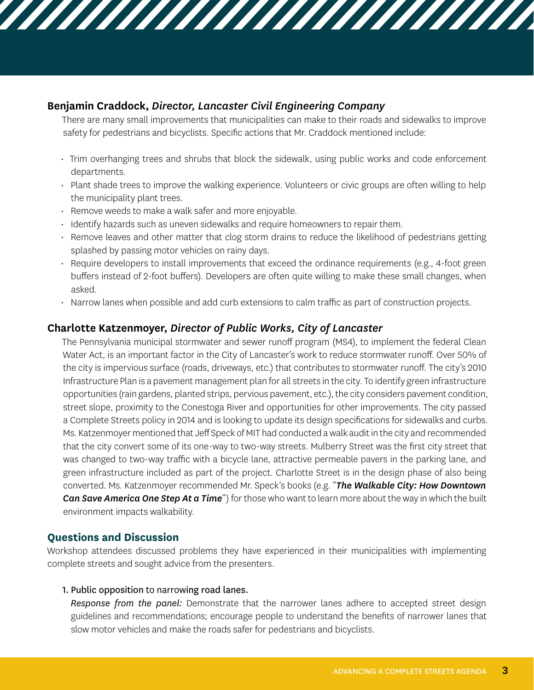# **Benjamin Craddock,** *Director, Lancaster Civil Engineering Company*

There are many small improvements that municipalities can make to their roads and sidewalks to improve safety for pedestrians and bicyclists. Specific actions that Mr. Craddock mentioned include:

,,,,,,,,,,,,,,,,,,,,,,,,,,,,,,

- Trim overhanging trees and shrubs that block the sidewalk, using public works and code enforcement departments.
- Plant shade trees to improve the walking experience. Volunteers or civic groups are often willing to help the municipality plant trees.
- Remove weeds to make a walk safer and more enjoyable.
- Identify hazards such as uneven sidewalks and require homeowners to repair them.
- Remove leaves and other matter that clog storm drains to reduce the likelihood of pedestrians getting splashed by passing motor vehicles on rainy days.
- Require developers to install improvements that exceed the ordinance requirements (e.g., 4-foot green buffers instead of 2-foot buffers). Developers are often quite willing to make these small changes, when asked.
- Narrow lanes when possible and add curb extensions to calm traffic as part of construction projects.

# **Charlotte Katzenmoyer,** *Director of Public Works, City of Lancaster*

The Pennsylvania municipal stormwater and sewer runoff program (MS4), to implement the federal Clean Water Act, is an important factor in the City of Lancaster's work to reduce stormwater runoff. Over 50% of the city is impervious surface (roads, driveways, etc.) that contributes to stormwater runoff. The city's 2010 Infrastructure Plan is a pavement management plan for all streets in the city. To identify green infrastructure opportunities (rain gardens, planted strips, pervious pavement, etc.), the city considers pavement condition, street slope, proximity to the Conestoga River and opportunities for other improvements. The city passed a Complete Streets policy in 2014 and is looking to update its design specifications for sidewalks and curbs. Ms. Katzenmoyer mentioned that Jeff Speck of MIT had conducted a walk audit in the city and recommended that the city convert some of its one-way to two-way streets. Mulberry Street was the first city street that was changed to two-way traffic with a bicycle lane, attractive permeable pavers in the parking lane, and green infrastructure included as part of the project. Charlotte Street is in the design phase of also being converted. Ms. Katzenmoyer recommended Mr. Speck's books (e.g. "*The Walkable City: How Downtown Can Save America One Step At a Time*") for those who want to learn more about the way in which the built environment impacts walkability.

# **Questions and Discussion**

Workshop attendees discussed problems they have experienced in their municipalities with implementing complete streets and sought advice from the presenters.

## 1. Public opposition to narrowing road lanes.

*Response from the panel:* Demonstrate that the narrower lanes adhere to accepted street design guidelines and recommendations; encourage people to understand the benefits of narrower lanes that slow motor vehicles and make the roads safer for pedestrians and bicyclists.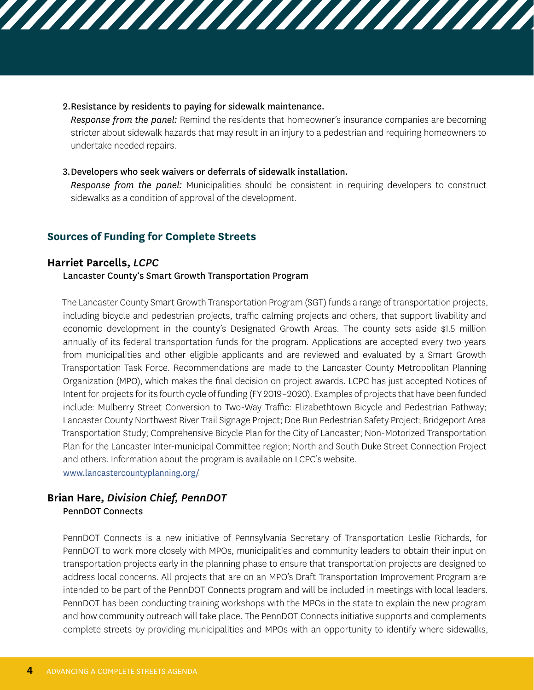#### 2.Resistance by residents to paying for sidewalk maintenance.

*Response from the panel:* Remind the residents that homeowner's insurance companies are becoming stricter about sidewalk hazards that may result in an injury to a pedestrian and requiring homeowners to undertake needed repairs.

,,,,,,,,,,,,,,,,,,,,,,,,,,,,,,

#### 3.Developers who seek waivers or deferrals of sidewalk installation.

*Response from the panel:* Municipalities should be consistent in requiring developers to construct sidewalks as a condition of approval of the development.

#### **Sources of Funding for Complete Streets**

#### **Harriet Parcells,** *LCPC*

#### Lancaster County's Smart Growth Transportation Program

The Lancaster County Smart Growth Transportation Program (SGT) funds a range of transportation projects, including bicycle and pedestrian projects, traffic calming projects and others, that support livability and economic development in the county's Designated Growth Areas. The county sets aside \$1.5 million annually of its federal transportation funds for the program. Applications are accepted every two years from municipalities and other eligible applicants and are reviewed and evaluated by a Smart Growth Transportation Task Force. Recommendations are made to the Lancaster County Metropolitan Planning Organization (MPO), which makes the final decision on project awards. LCPC has just accepted Notices of Intent for projects for its fourth cycle of funding (FY 2019–2020). Examples of projects that have been funded include: Mulberry Street Conversion to Two-Way Traffic: Elizabethtown Bicycle and Pedestrian Pathway; Lancaster County Northwest River Trail Signage Project; Doe Run Pedestrian Safety Project; Bridgeport Area Transportation Study; Comprehensive Bicycle Plan for the City of Lancaster; Non-Motorized Transportation Plan for the Lancaster Inter-municipal Committee region; North and South Duke Street Connection Project and others. Information about the program is available on LCPC's website. [www.lancastercountyplanning.org/](http://www.lancastercountyplanning.org/)

#### **Brian Hare,** *Division Chief, PennDOT* PennDOT Connects

PennDOT Connects is a new initiative of Pennsylvania Secretary of Transportation Leslie Richards, for PennDOT to work more closely with MPOs, municipalities and community leaders to obtain their input on transportation projects early in the planning phase to ensure that transportation projects are designed to address local concerns. All projects that are on an MPO's Draft Transportation Improvement Program are intended to be part of the PennDOT Connects program and will be included in meetings with local leaders. PennDOT has been conducting training workshops with the MPOs in the state to explain the new program and how community outreach will take place. The PennDOT Connects initiative supports and complements complete streets by providing municipalities and MPOs with an opportunity to identify where sidewalks,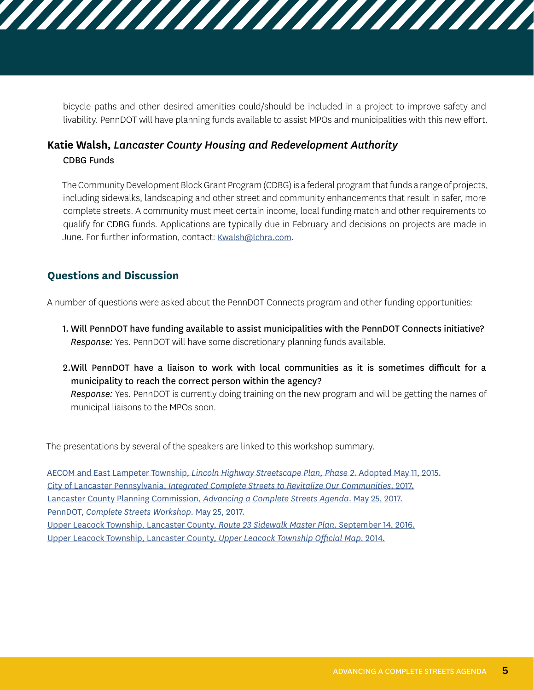bicycle paths and other desired amenities could/should be included in a project to improve safety and livability. PennDOT will have planning funds available to assist MPOs and municipalities with this new effort.

,,,,,,,,,,,,,,,,,,,,,,,,,,,,,

# **Katie Walsh,** *Lancaster County Housing and Redevelopment Authority* CDBG Funds

The Community Development Block Grant Program (CDBG) is a federal program that funds a range of projects, including sidewalks, landscaping and other street and community enhancements that result in safer, more complete streets. A community must meet certain income, local funding match and other requirements to qualify for CDBG funds. Applications are typically due in February and decisions on projects are made in June. For further information, contact: [Kwalsh@lchra.com](mailto:Kwalsh%40lchra.com?subject=Community%20Development%20Block%20Grants).

# **Questions and Discussion**

A number of questions were asked about the PennDOT Connects program and other funding opportunities:

- 1. Will PennDOT have funding available to assist municipalities with the PennDOT Connects initiative? *Response:* Yes. PennDOT will have some discretionary planning funds available.
- 2.Will PennDOT have a liaison to work with local communities as it is sometimes difficult for a municipality to reach the correct person within the agency? *Response:* Yes. PennDOT is currently doing training on the new program and will be getting the names of municipal liaisons to the MPOs soon.

The presentations by several of the speakers are linked to this workshop summary.

AECOM and East Lampeter Township, *[Lincoln Highway Streetscape Plan, Phase 2](http://lancastercountyplanning.org/DocumentCenter/View/877)*. Adopted May 11, 2015. City of Lancaster Pennsylvania, *[Integrated Complete Streets to Revitalize Our Communities](http://lancastercountyplanning.org/DocumentCenter/View/876)*. 2017. [Lancaster County Planning Commission,](http://lancastercountyplanning.org/DocumentCenter/View/878) *Advancing a Complete Streets Agenda*. May 25, 2017. PennDOT, *[Complete Streets Workshop](http://lancastercountyplanning.org/DocumentCenter/View/879)*. May 25, 2017. [Upper Leacock Township, Lancaster County,](http://lancastercountyplanning.org/DocumentCenter/View/881) *Route 23 Sidewalk Master Plan*. September 14, 2016.

[Upper Leacock Township, Lancaster County,](http://lancastercountyplanning.org/DocumentCenter/View/880) *Upper Leacock Township Official Map*. 2014.